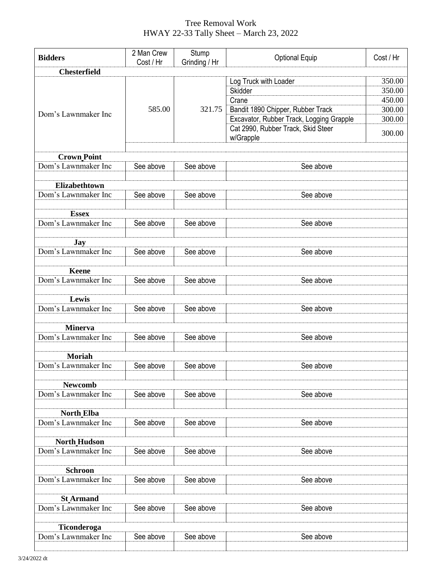## Tree Removal Work HWAY 22-33 Tally Sheet – March 23, 2022

| <b>Bidders</b>                        | 2 Man Crew | Stump                                  |                                          |        |  |  |
|---------------------------------------|------------|----------------------------------------|------------------------------------------|--------|--|--|
|                                       | Cost / Hr  | <b>Optional Equip</b><br>Grinding / Hr | Cost / Hr                                |        |  |  |
| <b>Chesterfield</b>                   |            |                                        |                                          |        |  |  |
|                                       |            | 321.75                                 | Log Truck with Loader                    | 350.00 |  |  |
| Dom's Lawnmaker Inc                   | 585.00     |                                        | Skidder                                  | 350.00 |  |  |
|                                       |            |                                        | Crane                                    | 450.00 |  |  |
|                                       |            |                                        | Bandit 1890 Chipper, Rubber Track        | 300.00 |  |  |
|                                       |            |                                        | Excavator, Rubber Track, Logging Grapple | 300.00 |  |  |
|                                       |            |                                        | Cat 2990, Rubber Track, Skid Steer       | 300.00 |  |  |
|                                       |            |                                        | w/Grapple                                |        |  |  |
|                                       |            |                                        |                                          |        |  |  |
| <b>Crown Point</b>                    |            |                                        |                                          |        |  |  |
| Dom's Lawnmaker Inc                   | See above  | See above                              | See above                                |        |  |  |
|                                       |            |                                        |                                          |        |  |  |
| Elizabethtown                         | See above  | See above                              |                                          |        |  |  |
| Dom's Lawnmaker Inc                   |            |                                        | See above                                |        |  |  |
| <b>Essex</b>                          |            |                                        |                                          |        |  |  |
| Dom's Lawnmaker Inc                   | See above  | See above                              | See above                                |        |  |  |
|                                       |            |                                        |                                          |        |  |  |
| Jay                                   |            |                                        |                                          |        |  |  |
| Dom's Lawnmaker Inc                   | See above  | See above                              | See above                                |        |  |  |
|                                       |            |                                        |                                          |        |  |  |
| <b>Keene</b>                          |            |                                        |                                          |        |  |  |
| Dom's Lawnmaker Inc                   | See above  | See above                              | See above                                |        |  |  |
|                                       |            |                                        |                                          |        |  |  |
| Lewis                                 |            |                                        |                                          |        |  |  |
| Dom's Lawnmaker Inc                   | See above  | See above                              | See above                                |        |  |  |
|                                       |            |                                        |                                          |        |  |  |
| <b>Minerva</b>                        |            |                                        |                                          |        |  |  |
| Dom's Lawnmaker Inc                   | See above  | See above                              | See above                                |        |  |  |
|                                       |            |                                        |                                          |        |  |  |
| <b>Moriah</b>                         |            |                                        |                                          |        |  |  |
| Dom's Lawnmaker Inc                   | See above  | See above                              | See above                                |        |  |  |
|                                       |            |                                        |                                          |        |  |  |
| <b>Newcomb</b><br>Dom's Lawnmaker Inc |            |                                        |                                          |        |  |  |
|                                       | See above  | See above                              | See above                                |        |  |  |
| <b>North Elba</b>                     |            |                                        |                                          |        |  |  |
| Dom's Lawnmaker Inc                   | See above  | See above                              | See above                                |        |  |  |
|                                       |            |                                        |                                          |        |  |  |
| <b>North Hudson</b>                   |            |                                        |                                          |        |  |  |
| Dom's Lawnmaker Inc                   | See above  | See above                              | See above                                |        |  |  |
|                                       |            |                                        |                                          |        |  |  |
| <b>Schroon</b>                        |            |                                        |                                          |        |  |  |
| Dom's Lawnmaker Inc                   | See above  | See above                              | See above                                |        |  |  |
|                                       |            |                                        |                                          |        |  |  |
| <b>St Armand</b>                      |            |                                        |                                          |        |  |  |
| Dom's Lawnmaker Inc                   | See above  | See above                              | See above                                |        |  |  |
|                                       |            |                                        |                                          |        |  |  |
| Ticonderoga                           |            |                                        |                                          |        |  |  |
| Dom's Lawnmaker Inc                   | See above  | See above                              | See above                                |        |  |  |
|                                       |            |                                        |                                          |        |  |  |